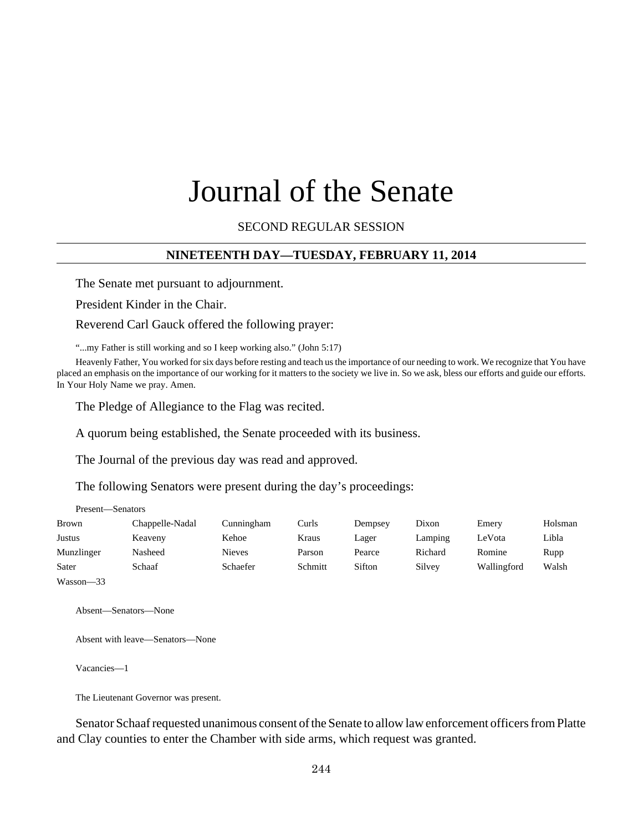# Journal of the Senate

SECOND REGULAR SESSION

## **NINETEENTH DAY—TUESDAY, FEBRUARY 11, 2014**

The Senate met pursuant to adjournment.

President Kinder in the Chair.

Reverend Carl Gauck offered the following prayer:

"...my Father is still working and so I keep working also." (John 5:17)

Heavenly Father, You worked for six days before resting and teach us the importance of our needing to work. We recognize that You have placed an emphasis on the importance of our working for it matters to the society we live in. So we ask, bless our efforts and guide our efforts. In Your Holy Name we pray. Amen.

The Pledge of Allegiance to the Flag was recited.

A quorum being established, the Senate proceeded with its business.

The Journal of the previous day was read and approved.

The following Senators were present during the day's proceedings:

| Present—Senators |                 |               |         |         |         |             |         |
|------------------|-----------------|---------------|---------|---------|---------|-------------|---------|
| <b>Brown</b>     | Chappelle-Nadal | Cunningham    | Curls   | Dempsey | Dixon   | Emery       | Holsman |
| Justus           | Keaveny         | Kehoe         | Kraus   | Lager   | Lamping | LeVota      | Libla   |
| Munzlinger       | Nasheed         | <b>Nieves</b> | Parson  | Pearce  | Richard | Romine      | Rupp    |
| Sater            | Schaaf          | Schaefer      | Schmitt | Sifton  | Silvey  | Wallingford | Walsh   |
| Wasson-33        |                 |               |         |         |         |             |         |

Absent—Senators—None

Absent with leave—Senators—None

Vacancies—1

The Lieutenant Governor was present.

Senator Schaaf requested unanimous consent of the Senate to allow law enforcement officers from Platte and Clay counties to enter the Chamber with side arms, which request was granted.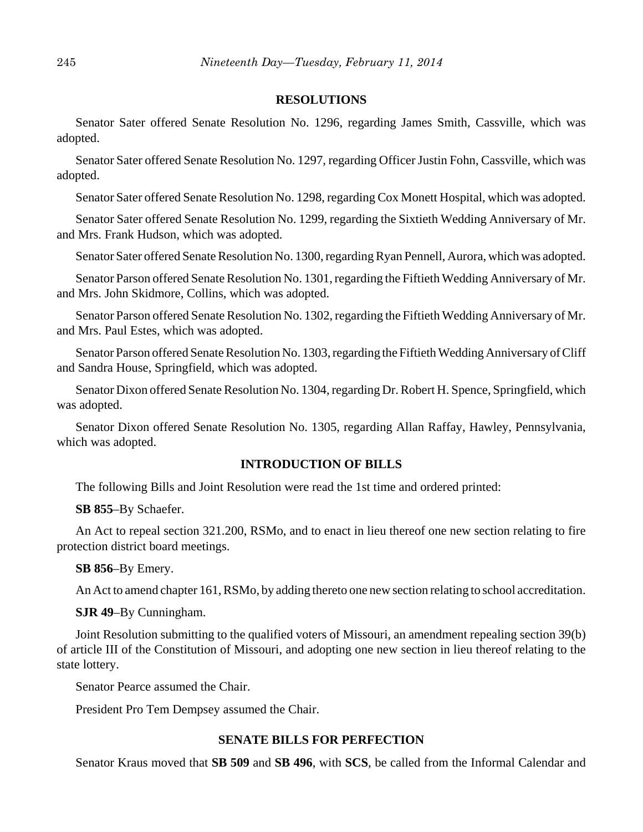#### **RESOLUTIONS**

Senator Sater offered Senate Resolution No. 1296, regarding James Smith, Cassville, which was adopted.

Senator Sater offered Senate Resolution No. 1297, regarding Officer Justin Fohn, Cassville, which was adopted.

Senator Sater offered Senate Resolution No. 1298, regarding Cox Monett Hospital, which was adopted.

Senator Sater offered Senate Resolution No. 1299, regarding the Sixtieth Wedding Anniversary of Mr. and Mrs. Frank Hudson, which was adopted.

Senator Sater offered Senate Resolution No. 1300, regarding Ryan Pennell, Aurora, which was adopted.

Senator Parson offered Senate Resolution No. 1301, regarding the Fiftieth Wedding Anniversary of Mr. and Mrs. John Skidmore, Collins, which was adopted.

Senator Parson offered Senate Resolution No. 1302, regarding the Fiftieth Wedding Anniversary of Mr. and Mrs. Paul Estes, which was adopted.

Senator Parson offered Senate Resolution No. 1303, regarding the Fiftieth Wedding Anniversary of Cliff and Sandra House, Springfield, which was adopted.

Senator Dixon offered Senate Resolution No. 1304, regarding Dr. Robert H. Spence, Springfield, which was adopted.

Senator Dixon offered Senate Resolution No. 1305, regarding Allan Raffay, Hawley, Pennsylvania, which was adopted.

## **INTRODUCTION OF BILLS**

The following Bills and Joint Resolution were read the 1st time and ordered printed:

**SB 855**–By Schaefer.

An Act to repeal section 321.200, RSMo, and to enact in lieu thereof one new section relating to fire protection district board meetings.

**SB 856**–By Emery.

An Act to amend chapter 161, RSMo, by adding thereto one new section relating to school accreditation.

**SJR 49**–By Cunningham.

Joint Resolution submitting to the qualified voters of Missouri, an amendment repealing section 39(b) of article III of the Constitution of Missouri, and adopting one new section in lieu thereof relating to the state lottery.

Senator Pearce assumed the Chair.

President Pro Tem Dempsey assumed the Chair.

## **SENATE BILLS FOR PERFECTION**

Senator Kraus moved that **SB 509** and **SB 496**, with **SCS**, be called from the Informal Calendar and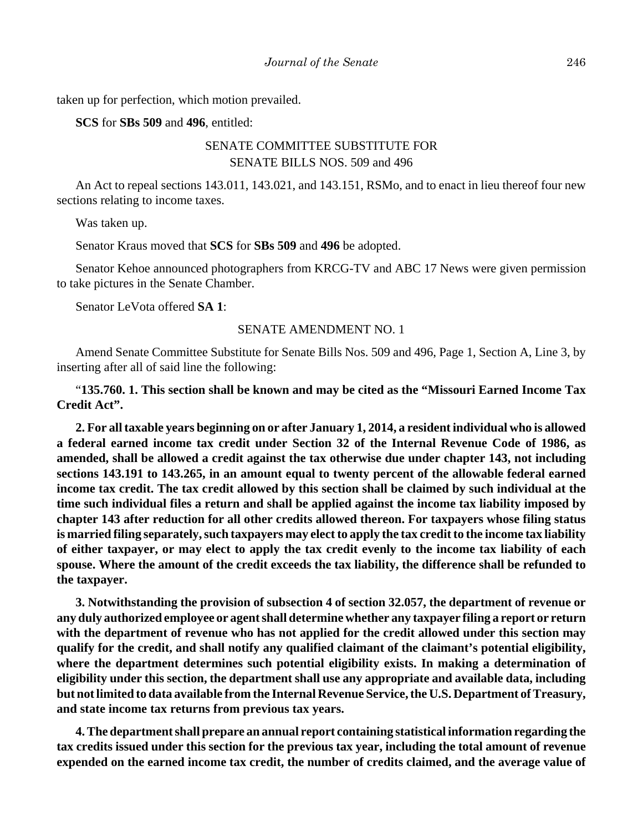taken up for perfection, which motion prevailed.

**SCS** for **SBs 509** and **496**, entitled:

# SENATE COMMITTEE SUBSTITUTE FOR SENATE BILLS NOS. 509 and 496

An Act to repeal sections 143.011, 143.021, and 143.151, RSMo, and to enact in lieu thereof four new sections relating to income taxes.

Was taken up.

Senator Kraus moved that **SCS** for **SBs 509** and **496** be adopted.

Senator Kehoe announced photographers from KRCG-TV and ABC 17 News were given permission to take pictures in the Senate Chamber.

Senator LeVota offered **SA 1**:

## SENATE AMENDMENT NO. 1

Amend Senate Committee Substitute for Senate Bills Nos. 509 and 496, Page 1, Section A, Line 3, by inserting after all of said line the following:

"**135.760. 1. This section shall be known and may be cited as the "Missouri Earned Income Tax Credit Act".**

**2. For all taxable years beginning on or after January 1, 2014, a resident individual who is allowed a federal earned income tax credit under Section 32 of the Internal Revenue Code of 1986, as amended, shall be allowed a credit against the tax otherwise due under chapter 143, not including sections 143.191 to 143.265, in an amount equal to twenty percent of the allowable federal earned income tax credit. The tax credit allowed by this section shall be claimed by such individual at the time such individual files a return and shall be applied against the income tax liability imposed by chapter 143 after reduction for all other credits allowed thereon. For taxpayers whose filing status is married filing separately, such taxpayers may elect to apply the tax credit to the income tax liability of either taxpayer, or may elect to apply the tax credit evenly to the income tax liability of each spouse. Where the amount of the credit exceeds the tax liability, the difference shall be refunded to the taxpayer.**

**3. Notwithstanding the provision of subsection 4 of section 32.057, the department of revenue or any duly authorized employee or agent shall determine whether any taxpayer filing a report or return with the department of revenue who has not applied for the credit allowed under this section may qualify for the credit, and shall notify any qualified claimant of the claimant's potential eligibility, where the department determines such potential eligibility exists. In making a determination of eligibility under this section, the department shall use any appropriate and available data, including but not limited to data available from the Internal Revenue Service, the U.S. Department of Treasury, and state income tax returns from previous tax years.**

**4. The department shall prepare an annual report containing statistical information regarding the tax credits issued under this section for the previous tax year, including the total amount of revenue expended on the earned income tax credit, the number of credits claimed, and the average value of**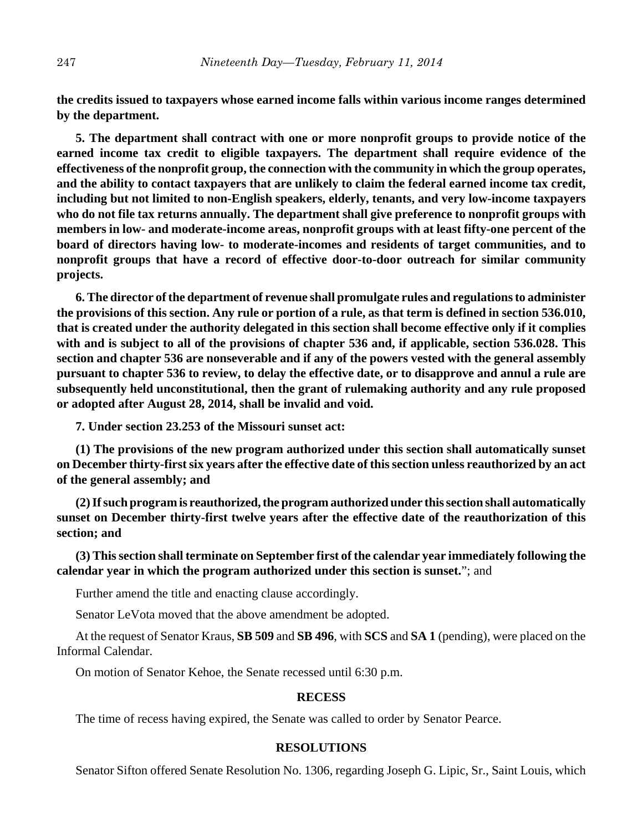**the credits issued to taxpayers whose earned income falls within various income ranges determined by the department.**

**5. The department shall contract with one or more nonprofit groups to provide notice of the earned income tax credit to eligible taxpayers. The department shall require evidence of the effectiveness of the nonprofit group, the connection with the community in which the group operates, and the ability to contact taxpayers that are unlikely to claim the federal earned income tax credit, including but not limited to non-English speakers, elderly, tenants, and very low-income taxpayers who do not file tax returns annually. The department shall give preference to nonprofit groups with members in low- and moderate-income areas, nonprofit groups with at least fifty-one percent of the board of directors having low- to moderate-incomes and residents of target communities, and to nonprofit groups that have a record of effective door-to-door outreach for similar community projects.**

**6. The director of the department of revenue shall promulgate rules and regulations to administer the provisions of this section. Any rule or portion of a rule, as that term is defined in section 536.010, that is created under the authority delegated in this section shall become effective only if it complies with and is subject to all of the provisions of chapter 536 and, if applicable, section 536.028. This section and chapter 536 are nonseverable and if any of the powers vested with the general assembly pursuant to chapter 536 to review, to delay the effective date, or to disapprove and annul a rule are subsequently held unconstitutional, then the grant of rulemaking authority and any rule proposed or adopted after August 28, 2014, shall be invalid and void.**

**7. Under section 23.253 of the Missouri sunset act:**

**(1) The provisions of the new program authorized under this section shall automatically sunset on December thirty-first six years after the effective date of this section unless reauthorized by an act of the general assembly; and**

**(2) If such program is reauthorized, the program authorized under this section shall automatically sunset on December thirty-first twelve years after the effective date of the reauthorization of this section; and**

**(3) This section shall terminate on September first of the calendar year immediately following the calendar year in which the program authorized under this section is sunset.**"; and

Further amend the title and enacting clause accordingly.

Senator LeVota moved that the above amendment be adopted.

At the request of Senator Kraus, **SB 509** and **SB 496**, with **SCS** and **SA 1** (pending), were placed on the Informal Calendar.

On motion of Senator Kehoe, the Senate recessed until 6:30 p.m.

#### **RECESS**

The time of recess having expired, the Senate was called to order by Senator Pearce.

#### **RESOLUTIONS**

Senator Sifton offered Senate Resolution No. 1306, regarding Joseph G. Lipic, Sr., Saint Louis, which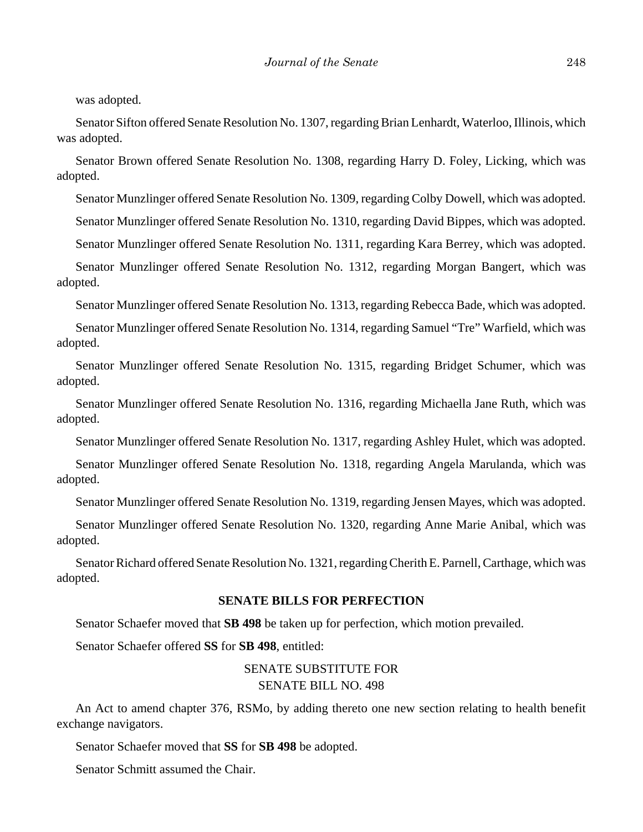was adopted.

Senator Sifton offered Senate Resolution No. 1307, regarding Brian Lenhardt, Waterloo, Illinois, which was adopted.

Senator Brown offered Senate Resolution No. 1308, regarding Harry D. Foley, Licking, which was adopted.

Senator Munzlinger offered Senate Resolution No. 1309, regarding Colby Dowell, which was adopted.

Senator Munzlinger offered Senate Resolution No. 1310, regarding David Bippes, which was adopted.

Senator Munzlinger offered Senate Resolution No. 1311, regarding Kara Berrey, which was adopted.

Senator Munzlinger offered Senate Resolution No. 1312, regarding Morgan Bangert, which was adopted.

Senator Munzlinger offered Senate Resolution No. 1313, regarding Rebecca Bade, which was adopted.

Senator Munzlinger offered Senate Resolution No. 1314, regarding Samuel "Tre" Warfield, which was adopted.

Senator Munzlinger offered Senate Resolution No. 1315, regarding Bridget Schumer, which was adopted.

Senator Munzlinger offered Senate Resolution No. 1316, regarding Michaella Jane Ruth, which was adopted.

Senator Munzlinger offered Senate Resolution No. 1317, regarding Ashley Hulet, which was adopted.

Senator Munzlinger offered Senate Resolution No. 1318, regarding Angela Marulanda, which was adopted.

Senator Munzlinger offered Senate Resolution No. 1319, regarding Jensen Mayes, which was adopted.

Senator Munzlinger offered Senate Resolution No. 1320, regarding Anne Marie Anibal, which was adopted.

Senator Richard offered Senate Resolution No. 1321, regarding Cherith E. Parnell, Carthage, which was adopted.

## **SENATE BILLS FOR PERFECTION**

Senator Schaefer moved that **SB 498** be taken up for perfection, which motion prevailed.

Senator Schaefer offered **SS** for **SB 498**, entitled:

## SENATE SUBSTITUTE FOR SENATE BILL NO. 498

An Act to amend chapter 376, RSMo, by adding thereto one new section relating to health benefit exchange navigators.

Senator Schaefer moved that **SS** for **SB 498** be adopted.

Senator Schmitt assumed the Chair.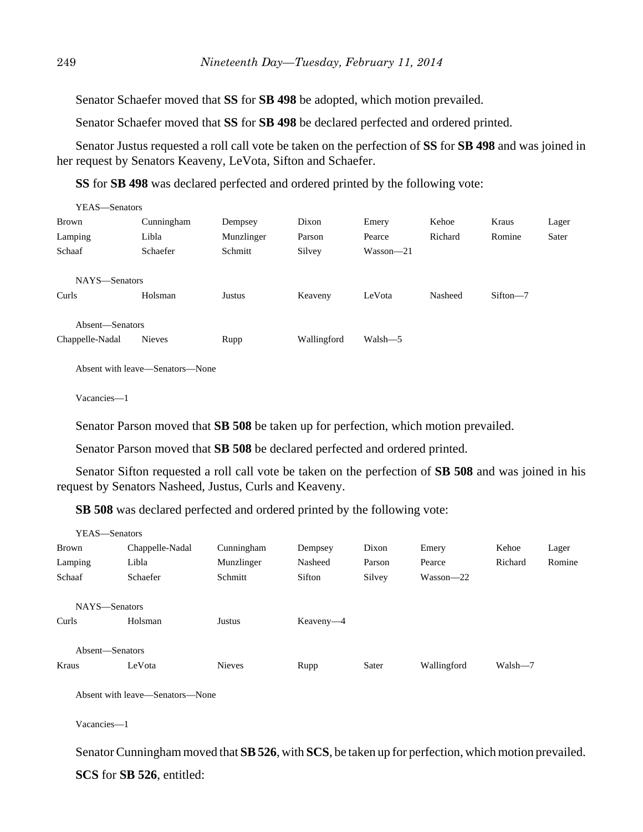Senator Schaefer moved that **SS** for **SB 498** be adopted, which motion prevailed.

Senator Schaefer moved that **SS** for **SB 498** be declared perfected and ordered printed.

Senator Justus requested a roll call vote be taken on the perfection of **SS** for **SB 498** and was joined in her request by Senators Keaveny, LeVota, Sifton and Schaefer.

**SS** for **SB 498** was declared perfected and ordered printed by the following vote:

| YEAS—Senators   |               |            |             |               |         |              |       |
|-----------------|---------------|------------|-------------|---------------|---------|--------------|-------|
| Brown           | Cunningham    | Dempsey    | Dixon       | Emery         | Kehoe   | Kraus        | Lager |
| Lamping         | Libla         | Munzlinger | Parson      | Pearce        | Richard | Romine       | Sater |
| Schaaf          | Schaefer      | Schmitt    | Silvey      | $Wasson - 21$ |         |              |       |
| NAYS-Senators   |               |            |             |               |         |              |       |
| Curls           | Holsman       | Justus     | Keaveny     | LeVota        | Nasheed | $Sifton - 7$ |       |
| Absent-Senators |               |            |             |               |         |              |       |
|                 |               |            |             |               |         |              |       |
| Chappelle-Nadal | <b>Nieves</b> | Rupp       | Wallingford | Walsh-5       |         |              |       |

Absent with leave—Senators—None

Vacancies—1

Senator Parson moved that **SB 508** be taken up for perfection, which motion prevailed.

Senator Parson moved that **SB 508** be declared perfected and ordered printed.

Senator Sifton requested a roll call vote be taken on the perfection of **SB 508** and was joined in his request by Senators Nasheed, Justus, Curls and Keaveny.

**SB 508** was declared perfected and ordered printed by the following vote:

| YEAS—Senators   |                 |               |           |        |               |         |        |
|-----------------|-----------------|---------------|-----------|--------|---------------|---------|--------|
| <b>Brown</b>    | Chappelle-Nadal | Cunningham    | Dempsey   | Dixon  | Emery         | Kehoe   | Lager  |
| Lamping         | Libla           | Munzlinger    | Nasheed   | Parson | Pearce        | Richard | Romine |
| Schaaf          | Schaefer        | Schmitt       | Sifton    | Silvey | $Wasson - 22$ |         |        |
| NAYS-Senators   |                 |               |           |        |               |         |        |
| Curls           | Holsman         | Justus        | Keaveny-4 |        |               |         |        |
|                 |                 |               |           |        |               |         |        |
| Absent-Senators |                 |               |           |        |               |         |        |
| Kraus           | LeVota          | <b>Nieves</b> | Rupp      | Sater  | Wallingford   | Walsh-7 |        |
|                 |                 |               |           |        |               |         |        |

Absent with leave—Senators—None

Vacancies—1

Senator Cunningham moved that **SB 526**, with **SCS**, be taken up for perfection, which motion prevailed. **SCS** for **SB 526**, entitled: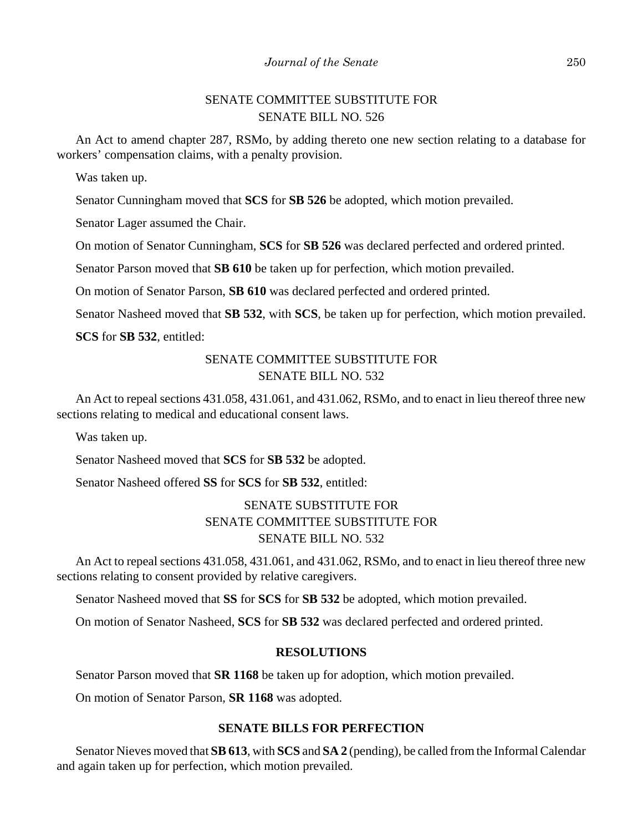# SENATE COMMITTEE SUBSTITUTE FOR SENATE BILL NO. 526

An Act to amend chapter 287, RSMo, by adding thereto one new section relating to a database for workers' compensation claims, with a penalty provision.

Was taken up.

Senator Cunningham moved that **SCS** for **SB 526** be adopted, which motion prevailed.

Senator Lager assumed the Chair.

On motion of Senator Cunningham, **SCS** for **SB 526** was declared perfected and ordered printed.

Senator Parson moved that **SB 610** be taken up for perfection, which motion prevailed.

On motion of Senator Parson, **SB 610** was declared perfected and ordered printed.

Senator Nasheed moved that **SB 532**, with **SCS**, be taken up for perfection, which motion prevailed.

**SCS** for **SB 532**, entitled:

# SENATE COMMITTEE SUBSTITUTE FOR SENATE BILL NO. 532

An Act to repeal sections 431.058, 431.061, and 431.062, RSMo, and to enact in lieu thereof three new sections relating to medical and educational consent laws.

Was taken up.

Senator Nasheed moved that **SCS** for **SB 532** be adopted.

Senator Nasheed offered **SS** for **SCS** for **SB 532**, entitled:

# SENATE SUBSTITUTE FOR SENATE COMMITTEE SUBSTITUTE FOR SENATE BILL NO. 532

An Act to repeal sections 431.058, 431.061, and 431.062, RSMo, and to enact in lieu thereof three new sections relating to consent provided by relative caregivers.

Senator Nasheed moved that **SS** for **SCS** for **SB 532** be adopted, which motion prevailed.

On motion of Senator Nasheed, **SCS** for **SB 532** was declared perfected and ordered printed.

## **RESOLUTIONS**

Senator Parson moved that **SR 1168** be taken up for adoption, which motion prevailed.

On motion of Senator Parson, **SR 1168** was adopted.

## **SENATE BILLS FOR PERFECTION**

Senator Nieves moved that **SB 613**, with **SCS** and **SA 2** (pending), be called from the Informal Calendar and again taken up for perfection, which motion prevailed.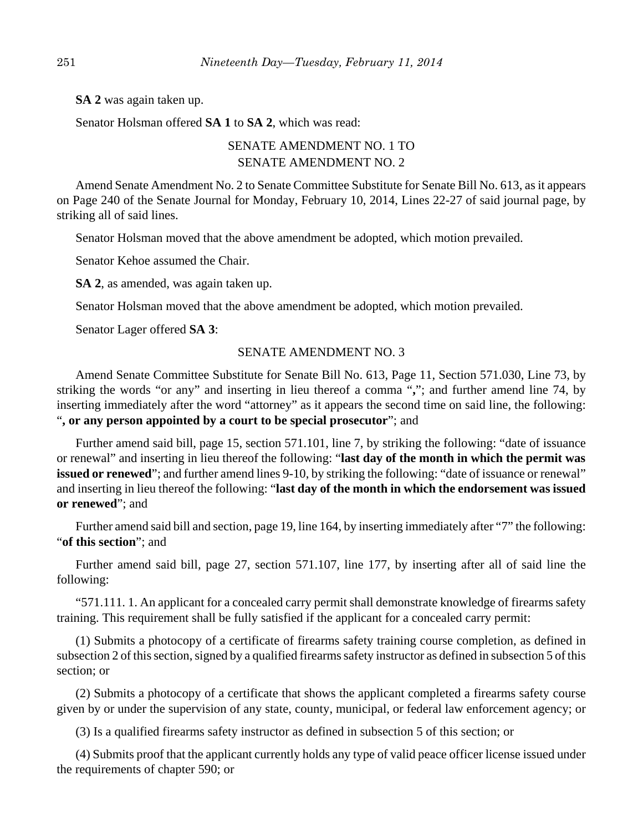**SA 2** was again taken up.

Senator Holsman offered **SA 1** to **SA 2**, which was read:

# SENATE AMENDMENT NO. 1 TO SENATE AMENDMENT NO. 2

Amend Senate Amendment No. 2 to Senate Committee Substitute for Senate Bill No. 613, as it appears on Page 240 of the Senate Journal for Monday, February 10, 2014, Lines 22-27 of said journal page, by striking all of said lines.

Senator Holsman moved that the above amendment be adopted, which motion prevailed.

Senator Kehoe assumed the Chair.

**SA 2**, as amended, was again taken up.

Senator Holsman moved that the above amendment be adopted, which motion prevailed.

Senator Lager offered **SA 3**:

## SENATE AMENDMENT NO. 3

Amend Senate Committee Substitute for Senate Bill No. 613, Page 11, Section 571.030, Line 73, by striking the words "or any" and inserting in lieu thereof a comma "**,**"; and further amend line 74, by inserting immediately after the word "attorney" as it appears the second time on said line, the following: "**, or any person appointed by a court to be special prosecutor**"; and

Further amend said bill, page 15, section 571.101, line 7, by striking the following: "date of issuance or renewal" and inserting in lieu thereof the following: "**last day of the month in which the permit was issued or renewed**"; and further amend lines 9-10, by striking the following: "date of issuance or renewal" and inserting in lieu thereof the following: "**last day of the month in which the endorsement was issued or renewed**"; and

Further amend said bill and section, page 19, line 164, by inserting immediately after "7" the following: "**of this section**"; and

Further amend said bill, page 27, section 571.107, line 177, by inserting after all of said line the following:

"571.111. 1. An applicant for a concealed carry permit shall demonstrate knowledge of firearms safety training. This requirement shall be fully satisfied if the applicant for a concealed carry permit:

(1) Submits a photocopy of a certificate of firearms safety training course completion, as defined in subsection 2 of this section, signed by a qualified firearms safety instructor as defined in subsection 5 of this section; or

(2) Submits a photocopy of a certificate that shows the applicant completed a firearms safety course given by or under the supervision of any state, county, municipal, or federal law enforcement agency; or

(3) Is a qualified firearms safety instructor as defined in subsection 5 of this section; or

(4) Submits proof that the applicant currently holds any type of valid peace officer license issued under the requirements of chapter 590; or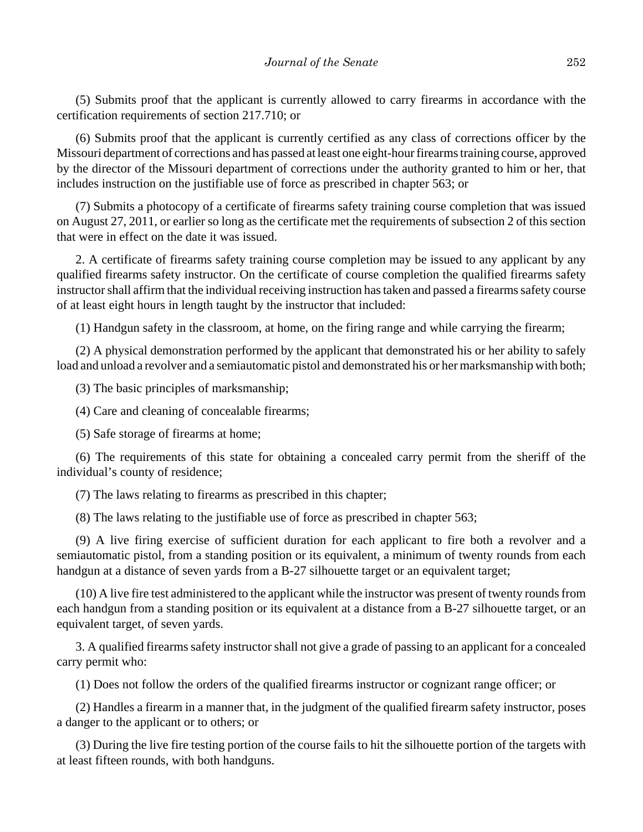(5) Submits proof that the applicant is currently allowed to carry firearms in accordance with the certification requirements of section 217.710; or

(6) Submits proof that the applicant is currently certified as any class of corrections officer by the Missouri department of corrections and has passed at least one eight-hour firearms training course, approved by the director of the Missouri department of corrections under the authority granted to him or her, that includes instruction on the justifiable use of force as prescribed in chapter 563; or

(7) Submits a photocopy of a certificate of firearms safety training course completion that was issued on August 27, 2011, or earlier so long as the certificate met the requirements of subsection 2 of this section that were in effect on the date it was issued.

2. A certificate of firearms safety training course completion may be issued to any applicant by any qualified firearms safety instructor. On the certificate of course completion the qualified firearms safety instructor shall affirm that the individual receiving instruction has taken and passed a firearms safety course of at least eight hours in length taught by the instructor that included:

(1) Handgun safety in the classroom, at home, on the firing range and while carrying the firearm;

(2) A physical demonstration performed by the applicant that demonstrated his or her ability to safely load and unload a revolver and a semiautomatic pistol and demonstrated his or her marksmanship with both;

(3) The basic principles of marksmanship;

(4) Care and cleaning of concealable firearms;

(5) Safe storage of firearms at home;

(6) The requirements of this state for obtaining a concealed carry permit from the sheriff of the individual's county of residence;

(7) The laws relating to firearms as prescribed in this chapter;

(8) The laws relating to the justifiable use of force as prescribed in chapter 563;

(9) A live firing exercise of sufficient duration for each applicant to fire both a revolver and a semiautomatic pistol, from a standing position or its equivalent, a minimum of twenty rounds from each handgun at a distance of seven yards from a B-27 silhouette target or an equivalent target;

(10) A live fire test administered to the applicant while the instructor was present of twenty rounds from each handgun from a standing position or its equivalent at a distance from a B-27 silhouette target, or an equivalent target, of seven yards.

3. A qualified firearms safety instructor shall not give a grade of passing to an applicant for a concealed carry permit who:

(1) Does not follow the orders of the qualified firearms instructor or cognizant range officer; or

(2) Handles a firearm in a manner that, in the judgment of the qualified firearm safety instructor, poses a danger to the applicant or to others; or

(3) During the live fire testing portion of the course fails to hit the silhouette portion of the targets with at least fifteen rounds, with both handguns.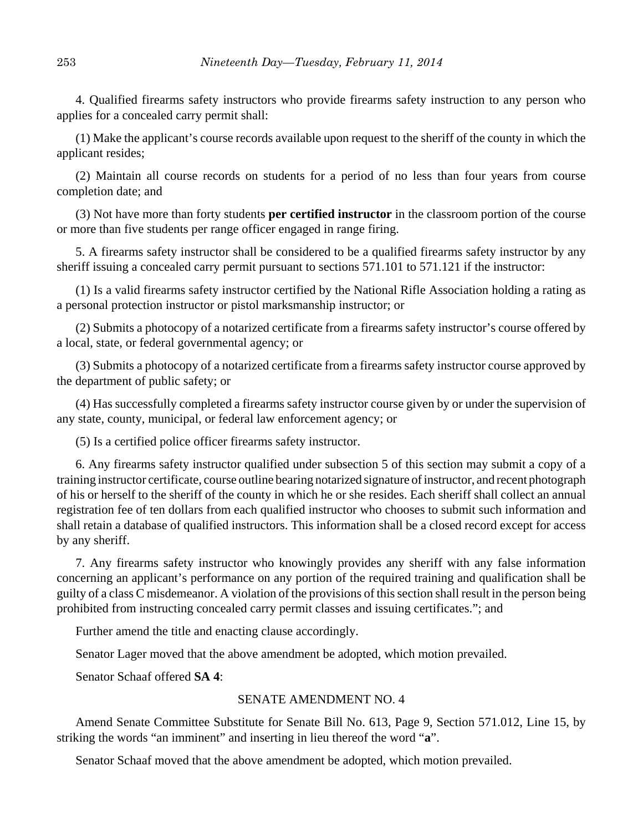4. Qualified firearms safety instructors who provide firearms safety instruction to any person who applies for a concealed carry permit shall:

(1) Make the applicant's course records available upon request to the sheriff of the county in which the applicant resides;

(2) Maintain all course records on students for a period of no less than four years from course completion date; and

(3) Not have more than forty students **per certified instructor** in the classroom portion of the course or more than five students per range officer engaged in range firing.

5. A firearms safety instructor shall be considered to be a qualified firearms safety instructor by any sheriff issuing a concealed carry permit pursuant to sections 571.101 to 571.121 if the instructor:

(1) Is a valid firearms safety instructor certified by the National Rifle Association holding a rating as a personal protection instructor or pistol marksmanship instructor; or

(2) Submits a photocopy of a notarized certificate from a firearms safety instructor's course offered by a local, state, or federal governmental agency; or

(3) Submits a photocopy of a notarized certificate from a firearms safety instructor course approved by the department of public safety; or

(4) Has successfully completed a firearms safety instructor course given by or under the supervision of any state, county, municipal, or federal law enforcement agency; or

(5) Is a certified police officer firearms safety instructor.

6. Any firearms safety instructor qualified under subsection 5 of this section may submit a copy of a training instructor certificate, course outline bearing notarized signature of instructor, and recent photograph of his or herself to the sheriff of the county in which he or she resides. Each sheriff shall collect an annual registration fee of ten dollars from each qualified instructor who chooses to submit such information and shall retain a database of qualified instructors. This information shall be a closed record except for access by any sheriff.

7. Any firearms safety instructor who knowingly provides any sheriff with any false information concerning an applicant's performance on any portion of the required training and qualification shall be guilty of a class C misdemeanor. A violation of the provisions of this section shall result in the person being prohibited from instructing concealed carry permit classes and issuing certificates."; and

Further amend the title and enacting clause accordingly.

Senator Lager moved that the above amendment be adopted, which motion prevailed.

Senator Schaaf offered **SA 4**:

## SENATE AMENDMENT NO. 4

Amend Senate Committee Substitute for Senate Bill No. 613, Page 9, Section 571.012, Line 15, by striking the words "an imminent" and inserting in lieu thereof the word "**a**".

Senator Schaaf moved that the above amendment be adopted, which motion prevailed.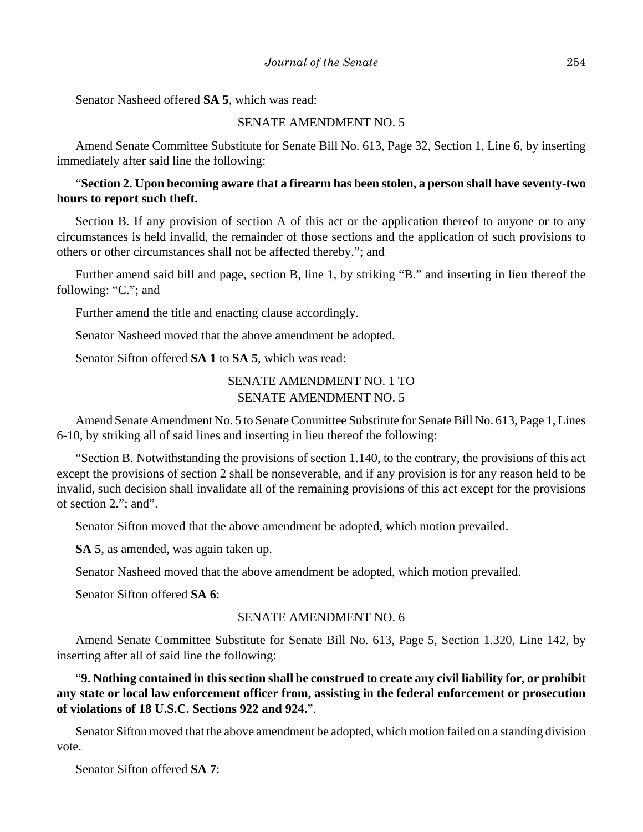Senator Nasheed offered **SA 5**, which was read:

## SENATE AMENDMENT NO. 5

Amend Senate Committee Substitute for Senate Bill No. 613, Page 32, Section 1, Line 6, by inserting immediately after said line the following:

## "**Section 2. Upon becoming aware that a firearm has been stolen, a person shall have seventy-two hours to report such theft.**

Section B. If any provision of section A of this act or the application thereof to anyone or to any circumstances is held invalid, the remainder of those sections and the application of such provisions to others or other circumstances shall not be affected thereby."; and

Further amend said bill and page, section B, line 1, by striking "B." and inserting in lieu thereof the following: "C."; and

Further amend the title and enacting clause accordingly.

Senator Nasheed moved that the above amendment be adopted.

Senator Sifton offered **SA 1** to **SA 5**, which was read:

# SENATE AMENDMENT NO. 1 TO SENATE AMENDMENT NO. 5

Amend Senate Amendment No. 5 to Senate Committee Substitute for Senate Bill No. 613, Page 1, Lines 6-10, by striking all of said lines and inserting in lieu thereof the following:

"Section B. Notwithstanding the provisions of section 1.140, to the contrary, the provisions of this act except the provisions of section 2 shall be nonseverable, and if any provision is for any reason held to be invalid, such decision shall invalidate all of the remaining provisions of this act except for the provisions of section 2."; and".

Senator Sifton moved that the above amendment be adopted, which motion prevailed.

**SA 5**, as amended, was again taken up.

Senator Nasheed moved that the above amendment be adopted, which motion prevailed.

Senator Sifton offered **SA 6**:

### SENATE AMENDMENT NO. 6

Amend Senate Committee Substitute for Senate Bill No. 613, Page 5, Section 1.320, Line 142, by inserting after all of said line the following:

"**9. Nothing contained in this section shall be construed to create any civil liability for, or prohibit any state or local law enforcement officer from, assisting in the federal enforcement or prosecution of violations of 18 U.S.C. Sections 922 and 924.**".

Senator Sifton moved that the above amendment be adopted, which motion failed on a standing division vote.

Senator Sifton offered **SA 7**: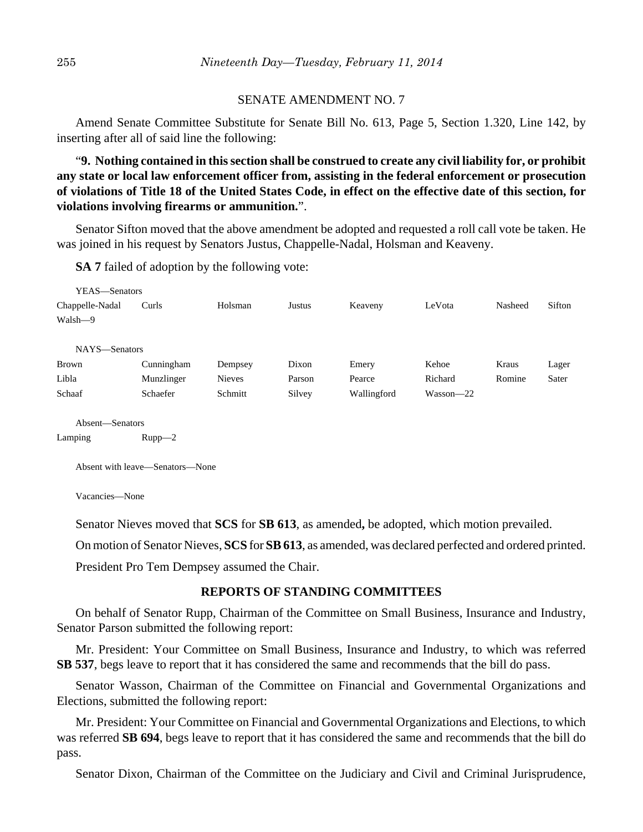#### SENATE AMENDMENT NO. 7

Amend Senate Committee Substitute for Senate Bill No. 613, Page 5, Section 1.320, Line 142, by inserting after all of said line the following:

"**9. Nothing contained in this section shall be construed to create any civil liability for, or prohibit any state or local law enforcement officer from, assisting in the federal enforcement or prosecution of violations of Title 18 of the United States Code, in effect on the effective date of this section, for violations involving firearms or ammunition.**".

Senator Sifton moved that the above amendment be adopted and requested a roll call vote be taken. He was joined in his request by Senators Justus, Chappelle-Nadal, Holsman and Keaveny.

**SA 7** failed of adoption by the following vote:

| YEAS—Senators   |            |               |        |             |               |         |        |
|-----------------|------------|---------------|--------|-------------|---------------|---------|--------|
| Chappelle-Nadal | Curls      | Holsman       | Justus | Keaveny     | LeVota        | Nasheed | Sifton |
| Walsh—9         |            |               |        |             |               |         |        |
|                 |            |               |        |             |               |         |        |
| NAYS-Senators   |            |               |        |             |               |         |        |
| Brown           | Cunningham | Dempsey       | Dixon  | Emery       | Kehoe         | Kraus   | Lager  |
| Libla           | Munzlinger | <b>Nieves</b> | Parson | Pearce      | Richard       | Romine  | Sater  |
| Schaaf          | Schaefer   | Schmitt       | Silvey | Wallingford | $Wasson - 22$ |         |        |
|                 |            |               |        |             |               |         |        |
| Absent—Senators |            |               |        |             |               |         |        |

Lamping Rupp-2

Absent with leave—Senators—None

Vacancies—None

Senator Nieves moved that **SCS** for **SB 613**, as amended**,** be adopted, which motion prevailed.

On motion of Senator Nieves, **SCS** for **SB 613**, as amended, was declared perfected and ordered printed.

President Pro Tem Dempsey assumed the Chair.

#### **REPORTS OF STANDING COMMITTEES**

On behalf of Senator Rupp, Chairman of the Committee on Small Business, Insurance and Industry, Senator Parson submitted the following report:

Mr. President: Your Committee on Small Business, Insurance and Industry, to which was referred **SB 537**, begs leave to report that it has considered the same and recommends that the bill do pass.

Senator Wasson, Chairman of the Committee on Financial and Governmental Organizations and Elections, submitted the following report:

Mr. President: Your Committee on Financial and Governmental Organizations and Elections, to which was referred **SB 694**, begs leave to report that it has considered the same and recommends that the bill do pass.

Senator Dixon, Chairman of the Committee on the Judiciary and Civil and Criminal Jurisprudence,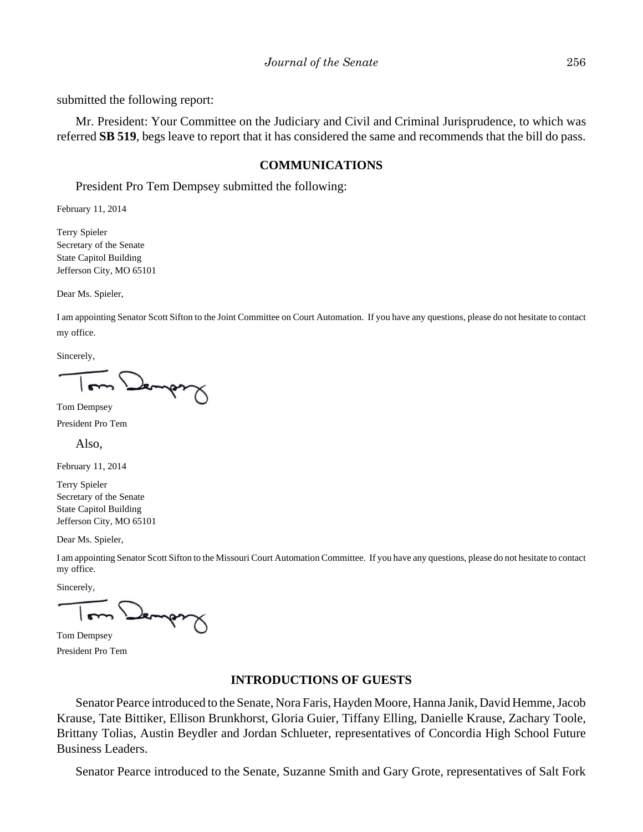submitted the following report:

Mr. President: Your Committee on the Judiciary and Civil and Criminal Jurisprudence, to which was referred **SB 519**, begs leave to report that it has considered the same and recommends that the bill do pass.

## **COMMUNICATIONS**

President Pro Tem Dempsey submitted the following:

February 11, 2014

Terry Spieler Secretary of the Senate State Capitol Building Jefferson City, MO 65101

Dear Ms. Spieler,

I am appointing Senator Scott Sifton to the Joint Committee on Court Automation. If you have any questions, please do not hesitate to contact my office.

Sincerely,

Jemper

Tom Dempsey

President Pro Tem

Also,

February 11, 2014

Terry Spieler Secretary of the Senate State Capitol Building Jefferson City, MO 65101

Dear Ms. Spieler,

I am appointing Senator Scott Sifton to the Missouri Court Automation Committee. If you have any questions, please do not hesitate to contact my office.

Sincerely,

Jemps

Tom Dempsey President Pro Tem

#### **INTRODUCTIONS OF GUESTS**

Senator Pearce introduced to the Senate, Nora Faris, Hayden Moore, Hanna Janik, David Hemme, Jacob Krause, Tate Bittiker, Ellison Brunkhorst, Gloria Guier, Tiffany Elling, Danielle Krause, Zachary Toole, Brittany Tolias, Austin Beydler and Jordan Schlueter, representatives of Concordia High School Future Business Leaders.

Senator Pearce introduced to the Senate, Suzanne Smith and Gary Grote, representatives of Salt Fork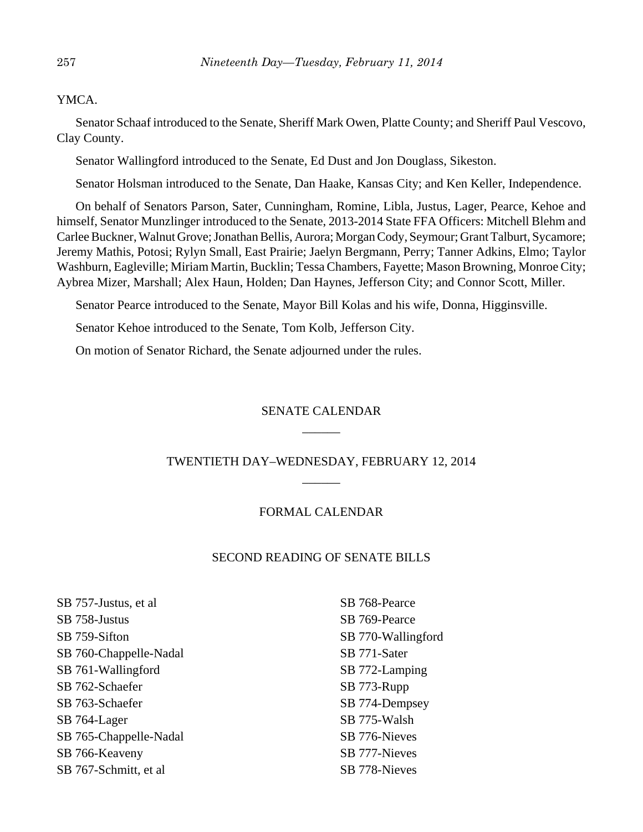YMCA.

Senator Schaaf introduced to the Senate, Sheriff Mark Owen, Platte County; and Sheriff Paul Vescovo, Clay County.

Senator Wallingford introduced to the Senate, Ed Dust and Jon Douglass, Sikeston.

Senator Holsman introduced to the Senate, Dan Haake, Kansas City; and Ken Keller, Independence.

On behalf of Senators Parson, Sater, Cunningham, Romine, Libla, Justus, Lager, Pearce, Kehoe and himself, Senator Munzlinger introduced to the Senate, 2013-2014 State FFA Officers: Mitchell Blehm and Carlee Buckner, Walnut Grove; Jonathan Bellis, Aurora; Morgan Cody, Seymour; Grant Talburt, Sycamore; Jeremy Mathis, Potosi; Rylyn Small, East Prairie; Jaelyn Bergmann, Perry; Tanner Adkins, Elmo; Taylor Washburn, Eagleville; Miriam Martin, Bucklin; Tessa Chambers, Fayette; Mason Browning, Monroe City; Aybrea Mizer, Marshall; Alex Haun, Holden; Dan Haynes, Jefferson City; and Connor Scott, Miller.

Senator Pearce introduced to the Senate, Mayor Bill Kolas and his wife, Donna, Higginsville.

Senator Kehoe introduced to the Senate, Tom Kolb, Jefferson City.

On motion of Senator Richard, the Senate adjourned under the rules.

# SENATE CALENDAR  $\overline{\phantom{a}}$

# TWENTIETH DAY–WEDNESDAY, FEBRUARY 12, 2014 \_\_\_\_\_\_

## FORMAL CALENDAR

## SECOND READING OF SENATE BILLS

SB 757-Justus, et al SB 758-Justus SB 759-Sifton SB 760-Chappelle-Nadal SB 761-Wallingford SB 762-Schaefer SB 763-Schaefer SB 764-Lager SB 765-Chappelle-Nadal SB 766-Keaveny SB 767-Schmitt, et al

SB 768-Pearce SB 769-Pearce SB 770-Wallingford SB 771-Sater SB 772-Lamping SB 773-Rupp SB 774-Dempsey SB 775-Walsh SB 776-Nieves SB 777-Nieves SB 778-Nieves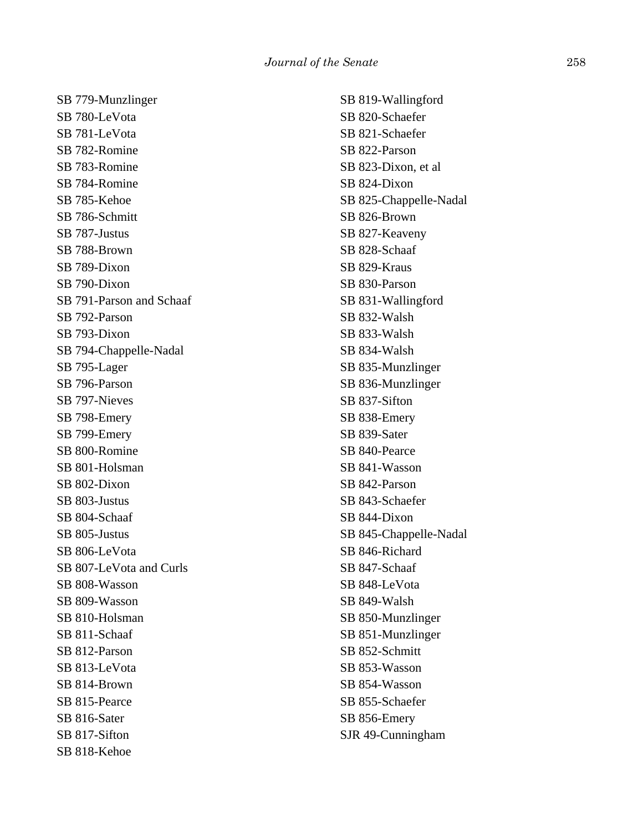SB 779-Munzlinger SB 780-LeVota SB 781-LeVota SB 782-Romine SB 783-Romine SB 784-Romine SB 785-Kehoe SB 786-Schmitt SB 787-Justus SB 788-Brown SB 789-Dixon SB 790-Dixon SB 791-Parson and Schaaf SB 792-Parson SB 793-Dixon SB 794-Chappelle-Nadal SB 795-Lager SB 796-Parson SB 797-Nieves SB 798-Emery SB 799-Emery SB 800-Romine SB 801-Holsman SB 802-Dixon SB 803-Justus SB 804-Schaaf SB 805-Justus SB 806-LeVota SB 807-LeVota and Curls SB 808-Wasson SB 809-Wasson SB 810-Holsman SB 811-Schaaf SB 812-Parson SB 813-LeVota SB 814-Brown SB 815-Pearce SB 816-Sater SB 817-Sifton SB 818-Kehoe

SB 819-Wallingford SB 820-Schaefer SB 821-Schaefer SB 822-Parson SB 823-Dixon, et al SB 824-Dixon SB 825-Chappelle-Nadal SB 826-Brown SB 827-Keaveny SB 828-Schaaf SB 829-Kraus SB 830-Parson SB 831-Wallingford SB 832-Walsh SB 833-Walsh SB 834-Walsh SB 835-Munzlinger SB 836-Munzlinger SB 837-Sifton SB 838-Emery SB 839-Sater SB 840-Pearce SB 841-Wasson SB 842-Parson SB 843-Schaefer SB 844-Dixon SB 845-Chappelle-Nadal SB 846-Richard SB 847-Schaaf SB 848-LeVota SB 849-Walsh SB 850-Munzlinger SB 851-Munzlinger SB 852-Schmitt SB 853-Wasson SB 854-Wasson SB 855-Schaefer SB 856-Emery SJR 49-Cunningham